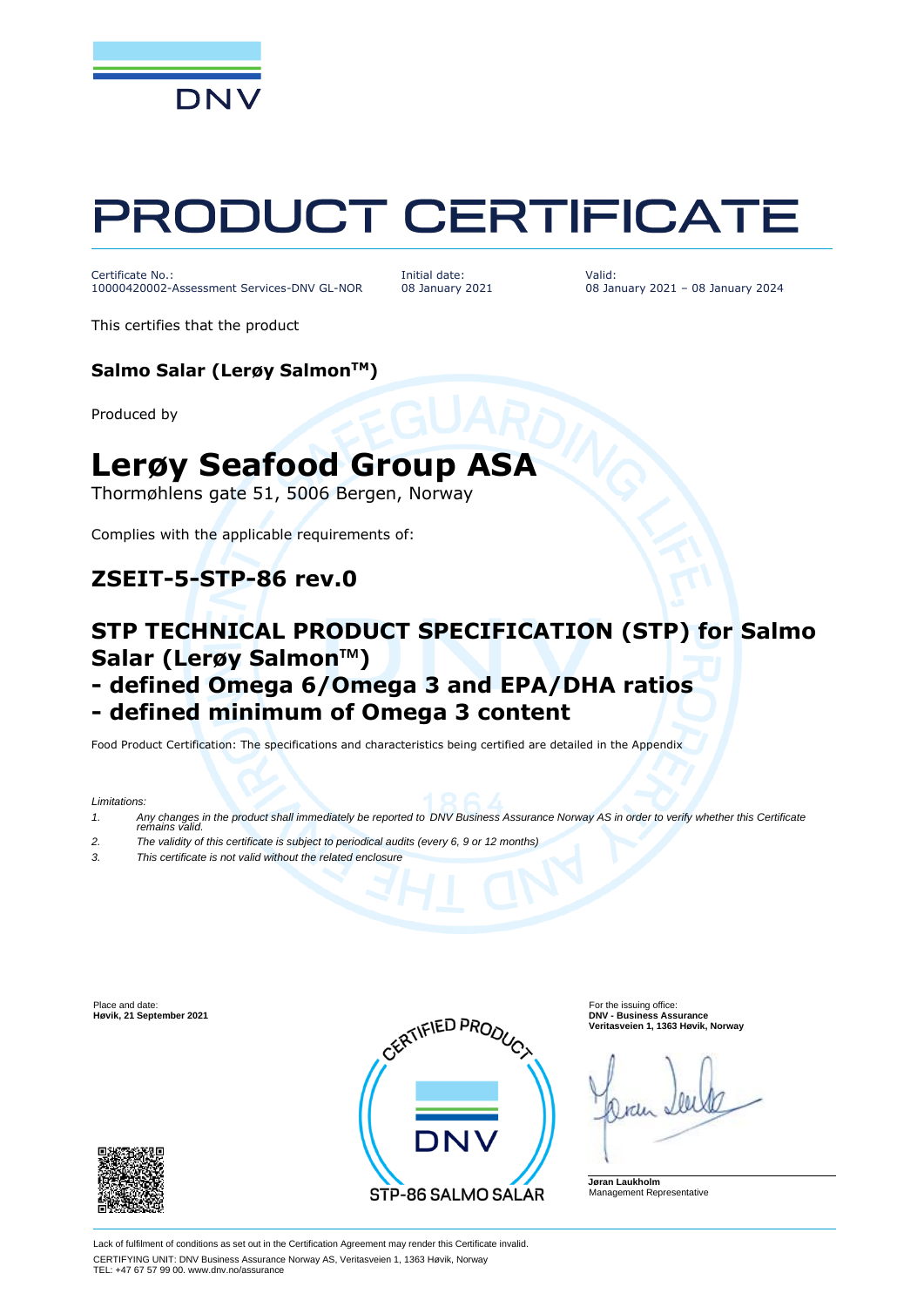

# PRODUCT CERTIFICATE

Certificate No.: 10000420002-Assessment Services-DNV GL-NOR

Initial date: 08 January 2021 Valid: 08 January 2021 – 08 January 2024

This certifies that the product

#### **Salmo Salar (Lerøy SalmonTM)**

Produced by

## **Lerøy Seafood Group ASA**

Thormøhlens gate 51, 5006 Bergen, Norway

Complies with the applicable requirements of:

## **ZSEIT-5-STP-86 rev.0**

## **STP TECHNICAL PRODUCT SPECIFICATION (STP) for Salmo Salar (Lerøy SalmonTM)**

## **- defined Omega 6/Omega 3 and EPA/DHA ratios**

## **- defined minimum of Omega 3 content**

Food Product Certification: The specifications and characteristics being certified are detailed in the Appendix

*Limitations:*

- *1. Any changes in the product shall immediately be reported to DNV Business Assurance Norway AS in order to verify whether this Certificate remains valid.*
- *2. The validity of this certificate is subject to periodical audits (every 6, 9 or 12 months)*
- *3. This certificate is not valid without the related enclosure*





**Veritasveien 1, 1363 Høvik, Norway**

**Jøran Laukholm** Management Representative

Lack of fulfilment of conditions as set out in the Certification Agreement may render this Certificate invalid. CERTIFYING UNIT: DNV Business Assurance Norway AS, Veritasveien 1, 1363 Høvik, Norway TEL: +47 67 57 99 00. www.dnv.no/assurance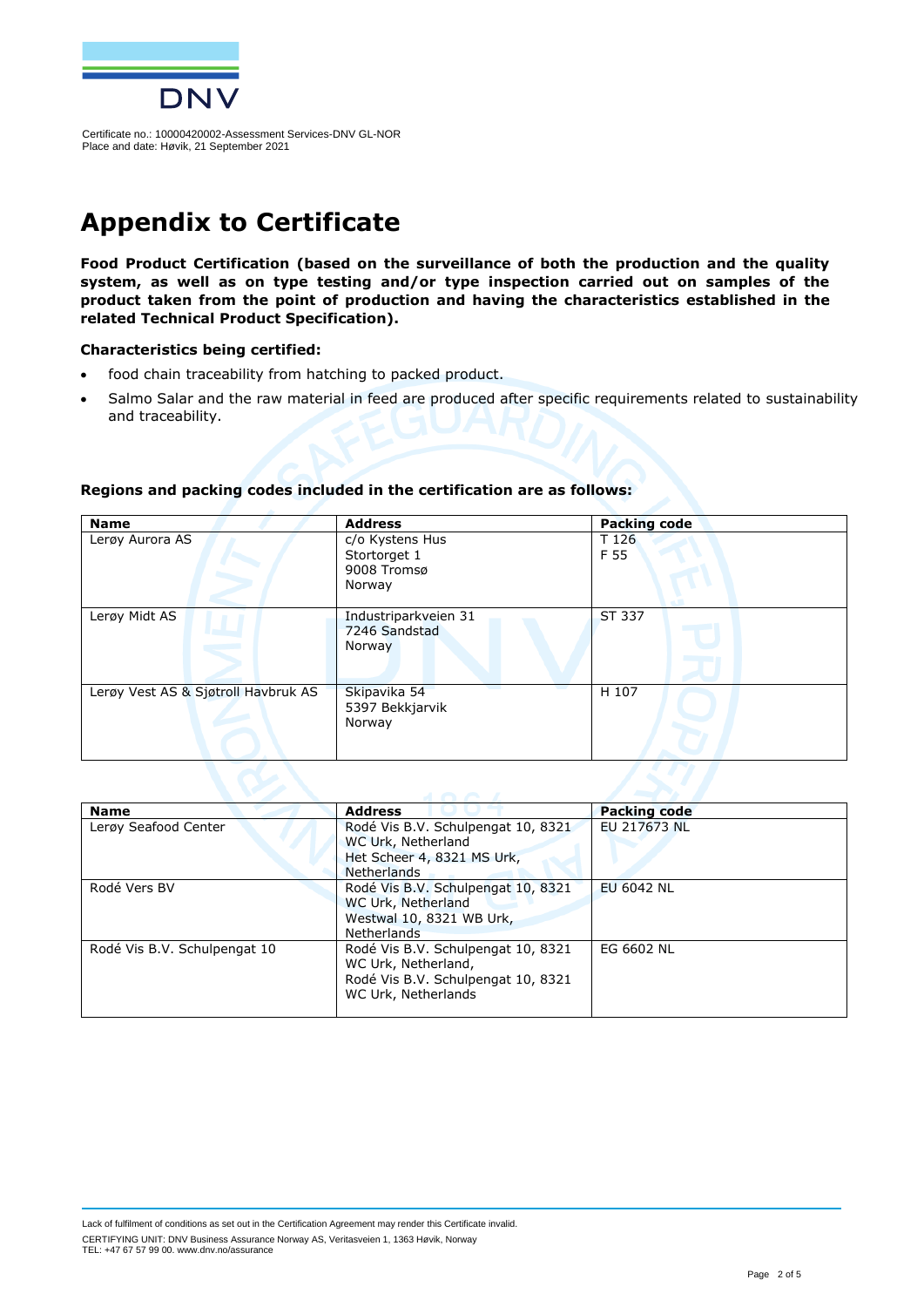

## **Appendix to Certificate**

**Food Product Certification (based on the surveillance of both the production and the quality system, as well as on type testing and/or type inspection carried out on samples of the product taken from the point of production and having the characteristics established in the related Technical Product Specification).**

#### **Characteristics being certified:**

- food chain traceability from hatching to packed product.
- Salmo Salar and the raw material in feed are produced after specific requirements related to sustainability and traceability.

| <b>Name</b>                         | <b>Address</b>                                           | <b>Packing code</b> |  |
|-------------------------------------|----------------------------------------------------------|---------------------|--|
| Lerøy Aurora AS                     | c/o Kystens Hus<br>Stortorget 1<br>9008 Tromsø<br>Norway | T 126<br>F 55       |  |
| Lerøy Midt AS                       | Industriparkveien 31<br>7246 Sandstad<br>Norway          | ST 337              |  |
| Lerøy Vest AS & Sjøtroll Havbruk AS | Skipavika 54<br>5397 Bekkjarvik<br>Norway                | H 107               |  |
| and the state of the control of the |                                                          |                     |  |

#### **Regions and packing codes included in the certification are as follows:**

| <b>Address</b>                                                                                                         | <b>Packing code</b>                              |
|------------------------------------------------------------------------------------------------------------------------|--------------------------------------------------|
| Rodé Vis B.V. Schulpengat 10, 8321                                                                                     | EU 217673 NL                                     |
|                                                                                                                        |                                                  |
| <b>Netherlands</b>                                                                                                     |                                                  |
| Rodé Vis B.V. Schulpengat 10, 8321                                                                                     | <b>EU 6042 NL</b>                                |
| WC Urk, Netherland                                                                                                     |                                                  |
| Westwal 10, 8321 WB Urk,                                                                                               |                                                  |
| Netherlands                                                                                                            |                                                  |
| Rodé Vis B.V. Schulpengat 10, 8321<br>WC Urk, Netherland,<br>Rodé Vis B.V. Schulpengat 10, 8321<br>WC Urk, Netherlands | EG 6602 NL                                       |
|                                                                                                                        | WC Urk, Netherland<br>Het Scheer 4, 8321 MS Urk, |

Lack of fulfilment of conditions as set out in the Certification Agreement may render this Certificate invalid. CERTIFYING UNIT: DNV Business Assurance Norway AS, Veritasveien 1, 1363 Høvik, Norway TEL: +47 67 57 99 00. www.dnv.no/assurance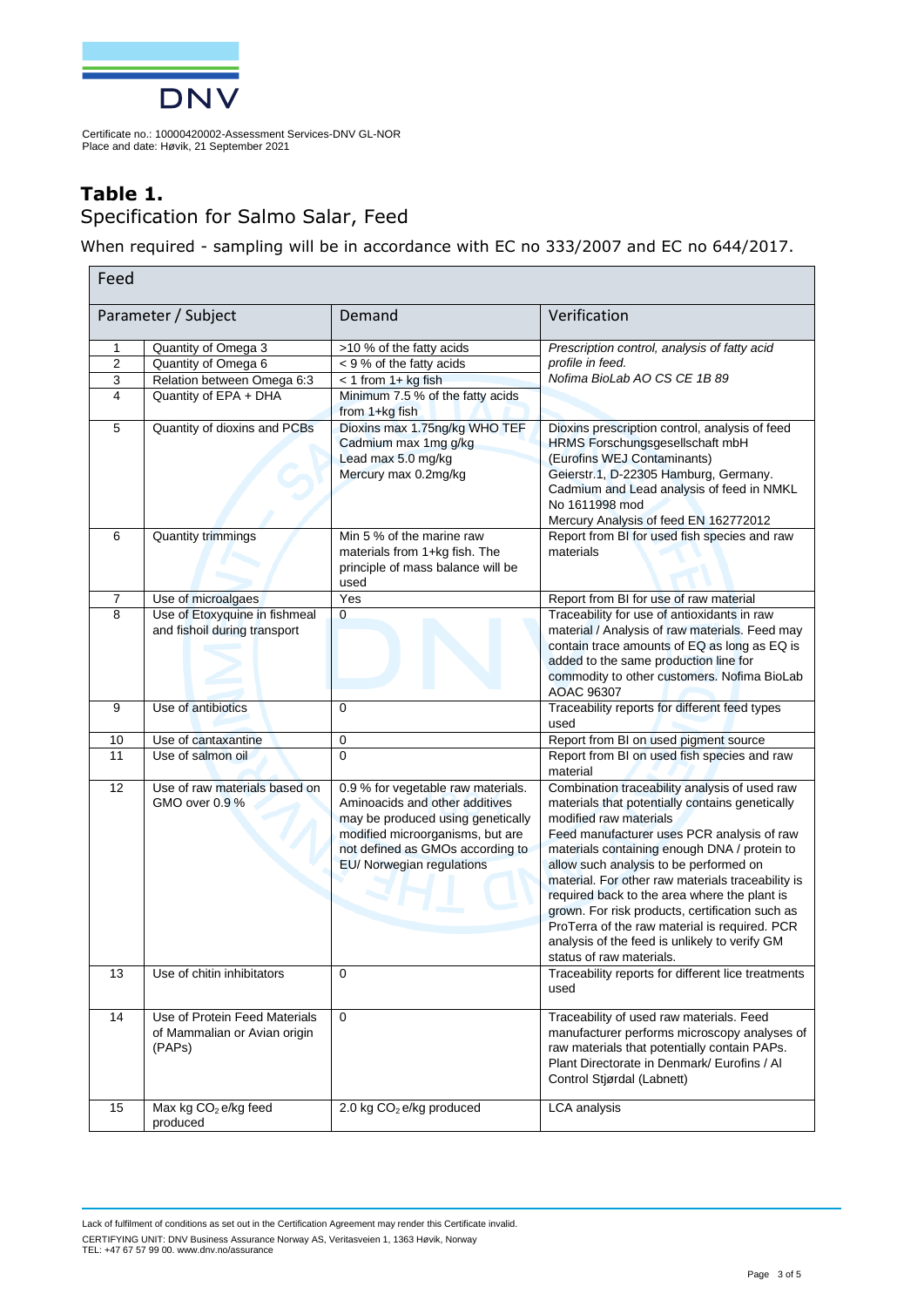

## **Table 1.**  Specification for Salmo Salar, Feed

When required - sampling will be in accordance with EC no 333/2007 and EC no 644/2017.

| Feed           |                                                                         |                                                                                                                                                                                                                |                                                                                                                                                                                                                                                                                                                                                                                                                                                                                                                                                          |
|----------------|-------------------------------------------------------------------------|----------------------------------------------------------------------------------------------------------------------------------------------------------------------------------------------------------------|----------------------------------------------------------------------------------------------------------------------------------------------------------------------------------------------------------------------------------------------------------------------------------------------------------------------------------------------------------------------------------------------------------------------------------------------------------------------------------------------------------------------------------------------------------|
|                | Parameter / Subject                                                     | Demand                                                                                                                                                                                                         | Verification                                                                                                                                                                                                                                                                                                                                                                                                                                                                                                                                             |
| 1              | Quantity of Omega 3                                                     | >10 % of the fatty acids                                                                                                                                                                                       | Prescription control, analysis of fatty acid                                                                                                                                                                                                                                                                                                                                                                                                                                                                                                             |
| $\overline{2}$ | Quantity of Omega 6                                                     | < 9 % of the fatty acids                                                                                                                                                                                       | profile in feed.                                                                                                                                                                                                                                                                                                                                                                                                                                                                                                                                         |
| 3              | Relation between Omega 6:3                                              | $<$ 1 from 1+ kg fish                                                                                                                                                                                          | Nofima BioLab AO CS CE 1B 89                                                                                                                                                                                                                                                                                                                                                                                                                                                                                                                             |
| 4              | Quantity of EPA + DHA                                                   | Minimum 7.5 % of the fatty acids<br>from 1+kg fish                                                                                                                                                             |                                                                                                                                                                                                                                                                                                                                                                                                                                                                                                                                                          |
| 5              | Quantity of dioxins and PCBs                                            | Dioxins max 1.75ng/kg WHO TEF<br>Cadmium max 1mg g/kg<br>Lead max 5.0 mg/kg<br>Mercury max 0.2mg/kg                                                                                                            | Dioxins prescription control, analysis of feed<br>HRMS Forschungsgesellschaft mbH<br>(Eurofins WEJ Contaminants)<br>Geierstr.1, D-22305 Hamburg, Germany.<br>Cadmium and Lead analysis of feed in NMKL<br>No 1611998 mod<br>Mercury Analysis of feed EN 162772012                                                                                                                                                                                                                                                                                        |
| 6              | <b>Quantity trimmings</b>                                               | Min 5 % of the marine raw<br>materials from 1+kg fish. The<br>principle of mass balance will be<br>used                                                                                                        | Report from BI for used fish species and raw<br>materials                                                                                                                                                                                                                                                                                                                                                                                                                                                                                                |
| 7              | Use of microalgaes                                                      | Yes                                                                                                                                                                                                            | Report from BI for use of raw material                                                                                                                                                                                                                                                                                                                                                                                                                                                                                                                   |
| $\overline{8}$ | Use of Etoxyquine in fishmeal<br>and fishoil during transport           | $\mathbf 0$                                                                                                                                                                                                    | Traceability for use of antioxidants in raw<br>material / Analysis of raw materials. Feed may<br>contain trace amounts of EQ as long as EQ is<br>added to the same production line for<br>commodity to other customers. Nofima BioLab<br><b>AOAC 96307</b>                                                                                                                                                                                                                                                                                               |
| 9              | Use of antibiotics                                                      | 0                                                                                                                                                                                                              | Traceability reports for different feed types<br>used                                                                                                                                                                                                                                                                                                                                                                                                                                                                                                    |
| 10             | Use of cantaxantine                                                     | 0                                                                                                                                                                                                              | Report from BI on used pigment source                                                                                                                                                                                                                                                                                                                                                                                                                                                                                                                    |
| 11             | Use of salmon oil                                                       | 0                                                                                                                                                                                                              | Report from BI on used fish species and raw<br>material                                                                                                                                                                                                                                                                                                                                                                                                                                                                                                  |
| 12             | Use of raw materials based on<br>GMO over 0.9 %                         | 0.9 % for vegetable raw materials.<br>Aminoacids and other additives<br>may be produced using genetically<br>modified microorganisms, but are<br>not defined as GMOs according to<br>EU/ Norwegian regulations | Combination traceability analysis of used raw<br>materials that potentially contains genetically<br>modified raw materials<br>Feed manufacturer uses PCR analysis of raw<br>materials containing enough DNA / protein to<br>allow such analysis to be performed on<br>material. For other raw materials traceability is<br>required back to the area where the plant is<br>grown. For risk products, certification such as<br>ProTerra of the raw material is required. PCR<br>analysis of the feed is unlikely to verify GM<br>status of raw materials. |
| 13             | Use of chitin inhibitators                                              | 0                                                                                                                                                                                                              | Traceability reports for different lice treatments<br>used                                                                                                                                                                                                                                                                                                                                                                                                                                                                                               |
| 14             | Use of Protein Feed Materials<br>of Mammalian or Avian origin<br>(PAPs) | $\mathbf 0$                                                                                                                                                                                                    | Traceability of used raw materials. Feed<br>manufacturer performs microscopy analyses of<br>raw materials that potentially contain PAPs.<br>Plant Directorate in Denmark/ Eurofins / Al<br>Control Stjørdal (Labnett)                                                                                                                                                                                                                                                                                                                                    |
| 15             | Max kg CO <sub>2</sub> e/kg feed<br>produced                            | 2.0 kg CO <sub>2</sub> e/kg produced                                                                                                                                                                           | <b>LCA</b> analysis                                                                                                                                                                                                                                                                                                                                                                                                                                                                                                                                      |

Lack of fulfilment of conditions as set out in the Certification Agreement may render this Certificate invalid. CERTIFYING UNIT: DNV Business Assurance Norway AS, Veritasveien 1, 1363 Høvik, Norway TEL: +47 67 57 99 00. www.dnv.no/assurance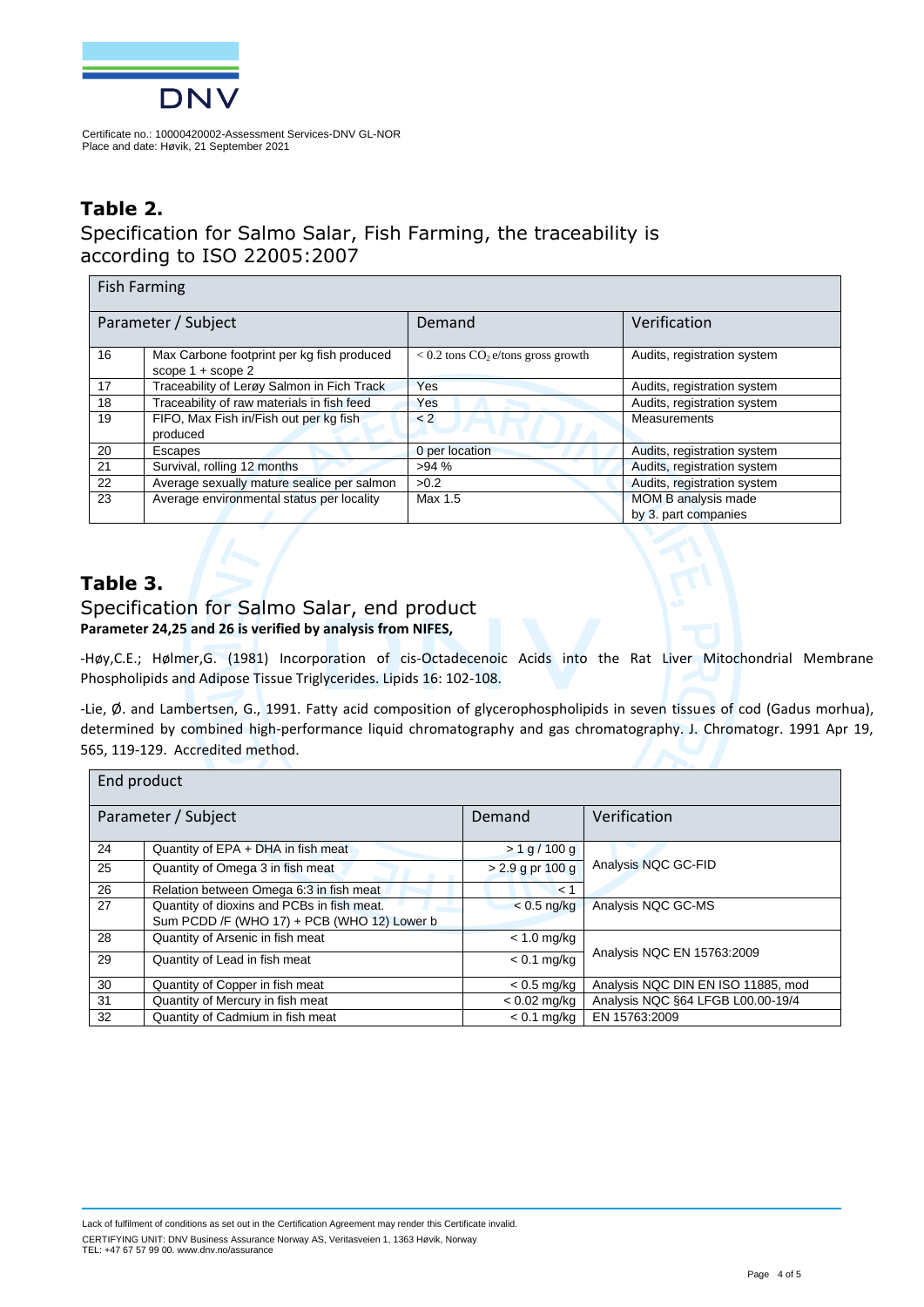

## **Table 2.**

Specification for Salmo Salar, Fish Farming, the traceability is according to ISO 22005:2007

| <b>Fish Farming</b> |                                                                   |                                                  |                                                    |  |
|---------------------|-------------------------------------------------------------------|--------------------------------------------------|----------------------------------------------------|--|
| Parameter / Subject |                                                                   | Demand                                           | Verification                                       |  |
| 16                  | Max Carbone footprint per kg fish produced<br>scope $1 +$ scope 2 | $< 0.2$ tons CO <sub>2</sub> e/tons gross growth | Audits, registration system                        |  |
| 17                  | Traceability of Lerøy Salmon in Fich Track                        | Yes                                              | Audits, registration system                        |  |
| 18                  | Traceability of raw materials in fish feed                        | Yes                                              | Audits, registration system                        |  |
| 19                  | FIFO, Max Fish in/Fish out per kg fish<br>produced                | $\leq$ 2                                         | <b>Measurements</b>                                |  |
| 20                  | Escapes                                                           | 0 per location                                   | Audits, registration system                        |  |
| 21                  | Survival, rolling 12 months                                       | >94%                                             | Audits, registration system                        |  |
| 22                  | Average sexually mature sealice per salmon                        | >0.2                                             | Audits, registration system                        |  |
| 23                  | Average environmental status per locality                         | Max 1.5                                          | <b>MOM B analysis made</b><br>by 3. part companies |  |

### **Table 3.**

#### Specification for Salmo Salar, end product **Parameter 24,25 and 26 is verified by analysis from NIFES,**

-Høy,C.E.; Hølmer,G. (1981) Incorporation of cis-Octadecenoic Acids into the Rat Liver Mitochondrial Membrane Phospholipids and Adipose Tissue Triglycerides. Lipids 16: 102-108.

-Lie, Ø. and Lambertsen, G., 1991. Fatty acid composition of glycerophospholipids in seven tissues of cod (Gadus morhua), determined by combined high-performance liquid chromatography and gas chromatography. J. Chromatogr. 1991 Apr 19, 565, 119-129. Accredited method.

| End product |                                             |                    |                                    |  |
|-------------|---------------------------------------------|--------------------|------------------------------------|--|
|             | Parameter / Subject                         | Demand             | Verification                       |  |
| 24          | Quantity of EPA + DHA in fish meat          | > 1 g / 100 g      |                                    |  |
| 25          | Quantity of Omega 3 in fish meat            | $> 2.9$ g pr 100 g | Analysis NQC GC-FID                |  |
| 26          | Relation between Omega 6:3 in fish meat     | < 1                |                                    |  |
| 27          | Quantity of dioxins and PCBs in fish meat.  | $< 0.5$ ng/kg      | Analysis NQC GC-MS                 |  |
|             | Sum PCDD /F (WHO 17) + PCB (WHO 12) Lower b |                    |                                    |  |
| 28          | Quantity of Arsenic in fish meat            | $< 1.0$ mg/kg      |                                    |  |
| 29          | Quantity of Lead in fish meat               | $< 0.1$ mg/kg      | Analysis NQC EN 15763:2009         |  |
| 30          | Quantity of Copper in fish meat             | $< 0.5$ mg/kg      | Analysis NQC DIN EN ISO 11885, mod |  |
| 31          | Quantity of Mercury in fish meat            | $< 0.02$ mg/kg     | Analysis NQC §64 LFGB L00.00-19/4  |  |
| 32          | Quantity of Cadmium in fish meat            | $< 0.1$ mg/kg      | EN 15763:2009                      |  |